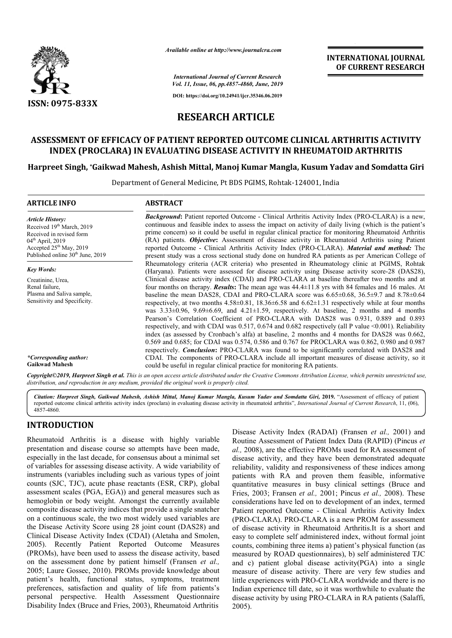

*Available online at http://www.journalcra.com*

*International Journal of Current Research Vol. 11, Issue, 06, pp.4857-4860, June, 2019*

**DOI: https://doi.org/10.24941/ijcr.35346.06.2019**

# **RESEARCH ARTICLE**

# **ASSESSMENT OF EFFICACY OF PATIENT REPORTED OUTCOME CLINICAL ARTHRITIS ACTIVITY**  ISSMENT OF EFFICACY OF PATIENT REPORTED OUTCOME CLINICAL ARTHRITIS ACTI<br>INDEX (PROCLARA) IN EVALUATING DISEASE ACTIVITY IN RHEUMATOID ARTHRITIS

## **Harpreet Singh, \*Gaikwad Mahesh, Ashish Mittal, Manoj Kumar Mangla, Kusum Yadav and Somdatta Giri Gaikwad Gaikwad Mahesh, Ashish Kusum Yadav**

Department of General Medicine, Pt BDS PGIMS PGIMS, Rohtak-124001, India 124001,

| <b>ARTICLE INFO</b>                                                                                                                                                                             | <b>ABSTRACT</b>                                                                                                                                                                                                                                                                                                                                                                                                                                                                                                                                                                                                                                                                                                                                                                                                                                                                                                                                                                                                                                                                                                                                                                                                                                                                                                                                                |
|-------------------------------------------------------------------------------------------------------------------------------------------------------------------------------------------------|----------------------------------------------------------------------------------------------------------------------------------------------------------------------------------------------------------------------------------------------------------------------------------------------------------------------------------------------------------------------------------------------------------------------------------------------------------------------------------------------------------------------------------------------------------------------------------------------------------------------------------------------------------------------------------------------------------------------------------------------------------------------------------------------------------------------------------------------------------------------------------------------------------------------------------------------------------------------------------------------------------------------------------------------------------------------------------------------------------------------------------------------------------------------------------------------------------------------------------------------------------------------------------------------------------------------------------------------------------------|
| <b>Article History:</b><br>Received 19 <sup>th</sup> March, 2019<br>Received in revised form<br>$04th$ April, 2019<br>Accepted $25th$ May, 2019<br>Published online 30 <sup>th</sup> June, 2019 | <b>Background:</b> Patient reported Outcome - Clinical Arthritis Activity Index (PRO-CLARA) is a new,<br>continuous and feasible index to assess the impact on activity of daily living (which is the patient's<br>prime concern) so it could be useful in regular clinical practice for monitoring Rheumatoid Arthritis<br>(RA) patients. <i>Objective</i> : Assessment of disease activity in Rheumatoid Arthritis using Patient<br>reported Outcome - Clinical Arthritis Activity Index (PRO-CLARA). Material and method: The<br>present study was a cross sectional study done on hundred RA patients as per American College of                                                                                                                                                                                                                                                                                                                                                                                                                                                                                                                                                                                                                                                                                                                           |
| <b>Key Words:</b><br>Creatinine, Urea,<br>Renal failure,<br>Plasma and Saliva sample,<br>Sensitivity and Specificity.<br>*Corresponding author:                                                 | Rheumatology criteria (ACR criteria) who presented in Rheumatology clinic at PGIMS, Rohtak<br>(Haryana). Patients were assessed for disease activity using Disease activity score-28 (DAS28),<br>Clinical disease activity index (CDAI) and PRO-CLARA at baseline thereafter two months and at<br>four months on therapy. <b>Results:</b> The mean age was $44.4 \pm 11.8$ yrs with 84 females and 16 males. At<br>baseline the mean DAS28, CDAI and PRO-CLARA score was $6.65\pm0.68$ , $36.5\pm9.7$ and $8.78\pm0.64$<br>respectively, at two months $4.58\pm0.81$ , $18.36\pm6.58$ and $6.62\pm1.31$ respectively while at four months<br>was $3.33\pm0.96$ , $9.69\pm6.69$ , and $4.21\pm1.59$ , respectively. At baseline, 2 months and 4 months<br>Pearson's Correlation Coefficient of PRO-CLARA with DAS28 was 0.931, 0.889 and 0.893<br>respectively, and with CDAI was 0.517, 0.674 and 0.682 respectively (all P value <0.001). Reliability<br>index (as assessed by Cronbach's alfa) at baseline, 2 months and 4 months for DAS28 was 0.662,<br>0.569 and 0.685; for CDAI was 0.574, 0.586 and 0.767 for PROCLARA was 0.862, 0.980 and 0.987<br>respectively. <i>Conclusion</i> : PRO-CLARA was found to be significantly correlated with DAS28 and<br>CDAI. The components of PRO-CLARA include all important measures of disease activity, so it |
| <b>Gaikwad Mahesh</b>                                                                                                                                                                           | could be useful in regular clinical practice for monitoring RA patients.<br>Copyright©2019, Harpreet Singh et al. This is an open access article distributed under the Creative Commons Attribution License, which permits unrestricted use,                                                                                                                                                                                                                                                                                                                                                                                                                                                                                                                                                                                                                                                                                                                                                                                                                                                                                                                                                                                                                                                                                                                   |

*Citation: Harpreet Singh, Gaikwad Mahesh, Ashish Mittal, Manoj Kumar Mangla, Kusum Yadav and Somdatta Giri Giri,* **2019. 2019.** "Assessment of efficacy of patient reported outcome clinical arthritis activity index (proclara) in evaluating disease activity in rheumatoid arthritis", *International Journal of Current Research*, 11, (06), 4857-4860.

# **INTRODUCTION**

Rheumatoid Arthritis is a disease with highly variable presentation and disease course so attempts have been made, especially in the last decade, for consensus about a minimal set of variables for assessing disease activity. A wide variability of instruments (variables including such as various types of joint counts (SJC, TJC), acute phase reactants (ESR, CRP), global assessment scales (PGA, EGA)) and general measures such as hemoglobin or body weight. Amongst the currently available composite disease activity indices that provide a single snatcher on a continuous scale, the two most widely used variables are the Disease Activity Score using 28 joint count (DAS28) and the Disease Activity Score using 28 joint count (DAS28) and Clinical Disease Activity Index (CDAI) (Aletaha and Smolen, 2005). Recently Patient Reported Outcome Measures (PROMs), have been used to assess the disease activity, based on the assessment done by patient himself (Fransen *et al.,*  2005; Laure Gossec, 2010). PROMs provide knowledge about patient's health, functional status, symptoms, treatment preferences, satisfaction and quality of life from patients's personal perspective. Health Assessment Questionnaire Disability Index (Bruce and Fries, 2003), Rheumatoid Arthritis

*distribution, and reproduction in any medium, provided the original work is properly cited.*

Disease Activity Index (RADAI)<br>mpts have been made,  $al., 2008$ , are the effective PROM<br>mpts have been made,  $al., 2008$ , are the effective PROM<br>sus about a minimal set disease activity, and they have ly<br>v. A wide variability Routine Assessment of Patient Index Data (RAPID) (Pincus et *al.,* 2008), are the effective PROMs used for RA assessment of disease activity, and they have been demonstrated adequate reliability, validity and responsiveness of these indices among patients with RA and proven them feasible, informative quantitative measures in busy clinical settings (Bruce and Fries, 2003; Fransen *et al.,* 2001; Pincus *et al.,* 2008). These considerations have led on to development of an index, termed Patient reported Outcome - Clinical Arthritis Activity Index Patient reported Outcome - Clinical Arthritis Activity Index (PRO-CLARA). PRO-CLARA is a new PROM for assessment of disease activity in Rheumatoid Arthritis. It is a short and easy to complete self administered index, without formal joint counts, combining three items a) patient's physical function (as measured by ROAD questionnaires), b) self administered TJC and c) patient global disease activity(PGA) into a single measure of disease activity. There are very few studies and little experiences with PRO-CLARA worldwide and there is no Indian experience till date, so it was worthwhile to evaluate the disease activity by using PRO-CLARA in RA patients (Salaffi, 2005). Disease Activity Index (RADAI) (Fransen et al., 2001) and al., 2008), are the effective PROMs used for RA assessment of disease activity, and they have been demonstrated adequate reliability, validity and responsiveness of these indices among patients with RA and proven them feas ease activity(PGA) into a single<br>There are very few studies and<br>CLARA worldwide and there is no<br>o it was worthwhile to evaluate the<br>O-CLARA in RA patients (Salaffi,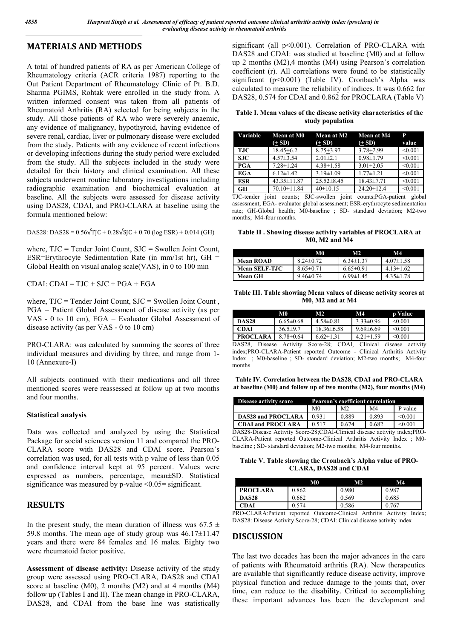## **MATERIALS AND METHODS**

A total of hundred patients of RA as per American College of Rheumatology criteria (ACR criteria 1987) reporting to the Out Patient Department of Rheumatology Clinic of Pt. B.D. Sharma PGIMS, Rohtak were enrolled in the study from. A written informed consent was taken from all patients of Rheumatoid Arthritis (RA) selected for being subjects in the study. All those patients of RA who were severely anaemic, any evidence of malignancy, hypothyroid, having evidence of severe renal, cardiac, liver or pulmonary disease were excluded from the study. Patients with any evidence of recent infections or developing infections during the study period were excluded from the study. All the subjects included in the study were detailed for their history and clinical examination. All these subjects underwent routine laboratory investigations including radiographic examination and biochemical evaluation at baseline. All the subjects were assessed for disease activity using DAS28, CDAI, and PRO-CLARA at baseline using the formula mentioned below:

DAS28: DAS28 =  $0.56\sqrt{T}$ JC +  $0.28\sqrt{S}$ JC +  $0.70$  (log ESR) +  $0.014$  (GH)

where, TJC = Tender Joint Count, SJC = Swollen Joint Count, ESR=Erythrocyte Sedimentation Rate (in mm/1st hr),  $GH =$ Global Health on visual analog scale(VAS), in 0 to 100 min

CDAI:  $CDAI = TJC + SJC + PGA + EGA$ 

where,  $TJC = Tender Joint Count, SJC = Swollen Joint Count,$ PGA = Patient Global Assessment of disease activity (as per VAS - 0 to 10 cm), EGA = Evaluator Global Assessment of disease activity (as per VAS - 0 to 10 cm)

PRO-CLARA: was calculated by summing the scores of three individual measures and dividing by three, and range from 1- 10 (Annexure-I)

All subjects continued with their medications and all three mentioned scores were reassessed at follow up at two months and four months.

#### **Statistical analysis**

Data was collected and analyzed by using the Statistical Package for social sciences version 11 and compared the PRO-CLARA score with DAS28 and CDAI score. Pearson's correlation was used, for all tests with p value of less than 0.05 and confidence interval kept at 95 percent. Values were expressed as numbers, percentage, mean±SD. Statistical significance was measured by p-value  $\leq 0.05$  = significant.

## **RESULTS**

In the present study, the mean duration of illness was  $67.5 \pm$ 59.8 months. The mean age of study group was  $46.17 \pm 11.47$ years and there were 84 females and 16 males. Eighty two were rheumatoid factor positive.

**Assessment of disease activity:** Disease activity of the study group were assessed using PRO-CLARA, DAS28 and CDAI score at baseline (M0), 2 months (M2) and at 4 months (M4) follow up (Tables I and II). The mean change in PRO-CLARA, DAS28, and CDAI from the base line was statistically significant (all p<0.001). Correlation of PRO-CLARA with DAS28 and CDAI: was studied at baseline (M0) and at follow up 2 months (M2),4 months (M4) using Pearson's correlation coefficient (r). All correlations were found to be statistically significant (p<0.001) (Table IV). Cronbach's Alpha was calculated to measure the reliability of indices. It was 0.662 for DAS28, 0.574 for CDAI and 0.862 for PROCLARA (Table V)

**Table I. Mean values of the disease activity characteristics of the study population**

| Variable   | Mean at M0<br>$(+ SD)$ | <b>Mean at M2</b><br>$(+ SD)$ | <b>Mean at M4</b><br>$(+ SD)$ | P<br>value |
|------------|------------------------|-------------------------------|-------------------------------|------------|
| <b>TJC</b> | $18.45 + 6.2$          | $8.75 + 3.97$                 | $3.78 + 2.99$                 | < 0.001    |
| <b>SJC</b> | $4.57 \pm 3.54$        | $2.01 \pm 2.1$                | $0.98 \pm 1.79$               | < 0.001    |
| <b>PGA</b> | $7.28 \pm 1.24$        | $4.38 \pm 1.58$               | $3.01 \pm 2.05$               | < 0.001    |
| <b>EGA</b> | $6.12 \pm 1.42$        | $3.19 \pm 1.09$               | $1.77 \pm 1.21$               | < 0.001    |
| <b>ESR</b> | $43.35 \pm 11.87$      | $25.52 \pm 8.45$              | $18.43 \pm 7.71$              | < 0.001    |
| GH         | 70.10±11.84            | $40 \pm 10.15$                | $24.20 \pm 12.4$              | < 0.001    |

TJC-tender joint counts; SJC-swollen joint counts;PGA-patient global assessment; EGA- evaluator global assessment; ESR-erythrocyte sedimentation rate; GH-Global health; M0-baseline ; SD- standard deviation; M2-two months; M4-four months.

**Table II . Showing disease activity variables of PROCLARA at M0, M2 and M4**

|                      | M0              | M2              | M4              |
|----------------------|-----------------|-----------------|-----------------|
| <b>Mean ROAD</b>     | $8.24 \pm 0.72$ | $6.34 \pm 1.37$ | $4.07\pm1.58$   |
| <b>Mean SELF-TJC</b> | $8.65 \pm 0.71$ | $6.65 \pm 0.91$ | $4.13 \pm 1.62$ |
| Mean GH              | $9.46 \pm 0.74$ | $6.99 \pm 1.45$ | $4.35 \pm 1.78$ |

#### **Table III. Table showing Mean values of disease activity scores at M0, M2 and at M4**

|                  | МO                  | M2                                    | M4              | p Value                |
|------------------|---------------------|---------------------------------------|-----------------|------------------------|
| <b>DAS28</b>     | $6.65 \pm 0.68$     | $4.58 \pm 0.81$                       | $3.33 \pm 0.96$ | < 0.001                |
| <b>CDAI</b>      | $36.5 \pm 9.7$      | $18.36 \pm 6.58$                      | $9.69 \pm 6.69$ | < 0.001                |
| <b>PROCLARA</b>  | $8.78 \pm 0.64$     | $6.62 \pm 1.31$                       | $4.21 \pm 1.59$ | < 0.001                |
| DACOQ<br>Digoggo | $A$ of $\mathbf{r}$ | CDAT<br>$S_{\alpha\alpha}$ $\gamma$ . | Clinical        | $a$ otivity<br>digoggo |

Activity Score-28; CDAI, Clinical disease activity index;PRO-CLARA-Patient reported Outcome - Clinical Arthritis Activity Index ; M0-baseline ; SD- standard deviation; M2-two months; M4-four months

**Table IV. Correlation between the DAS28, CDAI and PRO-CLARA at baseline (M0) and follow up of two months (M2), four months (M4)**

| <b>Disease activity score</b> | Pearson's coefficient correlation |                |                |                           |  |  |  |  |
|-------------------------------|-----------------------------------|----------------|----------------|---------------------------|--|--|--|--|
|                               | M <sub>0</sub>                    | M <sub>2</sub> | M <sub>4</sub> | P value                   |  |  |  |  |
| <b>DAS28 and PROCLARA</b>     | 0.931                             | 0.889          | 0.893          | < 0.001                   |  |  |  |  |
| CDAI and PROCLARA             | 0.517                             | 0.674          | 0.682          | < 0.001                   |  |  |  |  |
| . <i>. .</i><br>.             |                                   |                |                | $\mathbf{r}$ $\mathbf{r}$ |  |  |  |  |

DAS28-Disease Activity Score-28;CDAI-Clinical disease activity index;PRO-CLARA-Patient reported Outcome-Clinical Arthritis Activity Index ; M0 baseline ; SD- standard deviation; M2-two months; M4-four months.

**Table V. Table showing the Cronbach's Alpha value of PRO-CLARA, DAS28 and CDAI**

|                 | $\mathbf{M}0$ | M2                            | M4                                                                              |
|-----------------|---------------|-------------------------------|---------------------------------------------------------------------------------|
| <b>PROCLARA</b> | 0.862         | 0.980                         | 0.987                                                                           |
| <b>DAS28</b>    | 0.662         | 0.569                         | 0.685                                                                           |
| CDAI            | 0.574         | 0.586                         | 0.767                                                                           |
| $\overline{a}$  |               | $\sim$ $\sim$ $\sim$ $\sim$ 1 | $\mathbf{A}$ and $\mathbf{A}$ are associated in the final state of $\mathbf{A}$ |

PRO-CLARA:Patient reported Outcome-Clinical Arthritis Activity Index; DAS28: Disease Activity Score-28; CDAI: Clinical disease activity index

### **DISCUSSION**

The last two decades has been the major advances in the care of patients with Rheumatoid arthritis (RA). New therapeutics are available that significantly reduce disease activity, improve physical function and reduce damage to the joints that, over time, can reduce to the disability. Critical to accomplishing these important advances has been the development and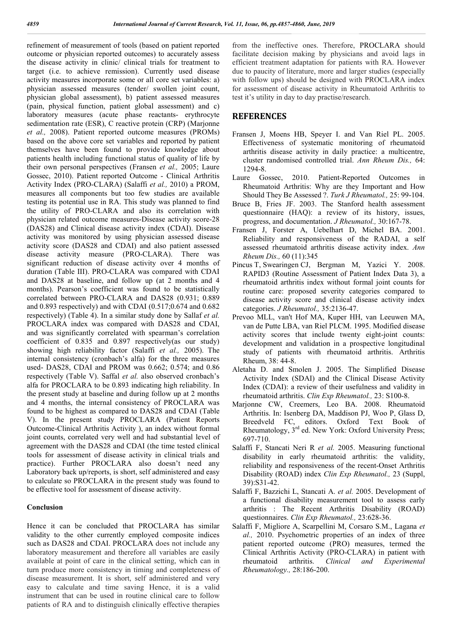refinement of measurement of tools (based on patient reported outcome or physician reported outcomes) to accurately assess the disease activity in clinic/ clinical trials for treatment to target (i.e. to achieve remission). Currently used disease activity measures incorporate some or all core set variables: a) physician assessed measures (tender/ swollen joint count, physician global assessment), b) patient assessed measures (pain, physical function, patient global assessment) and c) laboratory measures (acute phase reactants- erythrocyte sedimentation rate (ESR), C reactive protein (CRP) (Marjonne *et al.,* 2008). Patient reported outcome measures (PROMs) based on the above core set variables and reported by patient themselves have been found to provide knowledge about patients health including functional status of quality of life by their own personal perspectives (Fransen *et al.,* 2005; Laure Gossec, 2010). Patient reported Outcome - Clinical Arthritis Activity Index (PRO-CLARA) (Salaffi *et al.,* 2010) a PROM, measures all components but too few studies are available testing its potential use in RA. This study was planned to find the utility of PRO-CLARA and also its correlation with physician related outcome measures-Disease activity score-28 (DAS28) and Clinical disease activity index (CDAI). Disease activity was monitored by using physician assessed disease activity score (DAS28 and CDAI) and also patient assessed disease activity measure (PRO-CLARA). There was significant reduction of disease activity over 4 months of duration (Table III). PRO-CLARA was compared with CDAI and DAS28 at baseline, and follow up (at 2 months and 4 months). Pearson's coefficient was found to be statistically correlated between PRO-CLARA and DAS28 (0.931; 0.889 and 0.893 respectively) and with CDAI (0.517;0.674 and 0.682 respectively) (Table 4). In a similar study done by Sallaf *et al.*  PROCLARA index was compared with DAS28 and CDAI, and was significantly correlated with spearman's correlation coefficient of 0.835 and 0.897 respectively(as our study) showing high reliability factor (Salaffi *et al.,* 2005). The internal consistency (cronbach's alfa) for the three measures used- DAS28, CDAI and PROM was 0.662; 0.574; and 0.86 respectively (Table V). Saffal *et al.* also observed cronbach's alfa for PROCLARA to be 0.893 indicating high reliability. In the present study at baseline and during follow up at 2 months and 4 months, the internal consistency of PROCLARA was found to be highest as compared to DAS28 and CDAI (Table V). In the present study PROCLARA (Patient Reports Outcome-Clinical Arthritis Activity ), an index without formal joint counts, correlated very well and had substantial level of agreement with the DAS28 and CDAI (the time tested clinical tools for assessment of disease activity in clinical trials and practice). Further PROCLARA also doesn't need any Laboratory back up/reports, is short, self administered and easy to calculate so PROCLARA in the present study was found to be effective tool for assessment of disease activity.

#### **Conclusion**

Hence it can be concluded that PROCLARA has similar validity to the other currently employed composite indices such as DAS28 and CDAI. PROCLARA does not include any laboratory measurement and therefore all variables are easily available at point of care in the clinical setting, which can in turn produce more consistency in timing and completeness of disease measurement. It is short, self administered and very easy to calculate and time saving Hence, it is a valid instrument that can be used in routine clinical care to follow patients of RA and to distinguish clinically effective therapies

from the ineffective ones. Therefore, PROCLARA should facilitate decision making by physicians and avoid lags in efficient treatment adaptation for patients with RA. However due to paucity of literature, more and larger studies (especially with follow ups) should be designed with PROCLARA index for assessment of disease activity in Rheumatoid Arthritis to test it's utility in day to day practise/research.

#### **REFERENCES**

- Fransen J, Moens HB, Speyer I. and Van Riel PL. 2005. Effectiveness of systematic monitoring of rheumatoid arthritis disease activity in daily practice: a multicentre, cluster randomised controlled trial. *Ann Rheum Dis.,* 64: 1294-8.
- Laure Gossec, 2010. Patient-Reported Outcomes in Rheumatoid Arthritis: Why are they Important and How Should They Be Assessed ?. *Turk J Rheumatol.,* 25: 99-104.
- Bruce B, Fries JF. 2003. The Stanford health assessment questionnaire (HAQ): a review of its history, issues, progress, and documentation. *J Rheumatol.,* 30:167-78.
- Fransen J, Forster A, Uebelhart D, Michel BA. 2001. Reliability and responsiveness of the RADAI, a self assessed rheumatoid arthritis disease activity index. *Ann Rheum Dis.,* 60 (11):345
- Pincus T, Swearingen CJ, Bergman M, Yazici Y. 2008. RAPID3 (Routine Assessment of Patient Index Data 3), a rheumatoid arthritis index without formal joint counts for routine care: proposed severity categories compared to disease activity score and clinical disease activity index categories. *J Rheumatol.,* 35:2136-47.
- Prevoo MLL, van't Hof MA, Kuper HH, van Leeuwen MA, van de Putte LBA, van Riel PLCM. 1995. Modified disease activity scores that include twenty eight-joint counts: development and validation in a prospective longitudinal study of patients with rheumatoid arthritis. Arthritis Rheum, 38: 44-8.
- Aletaha D. and Smolen J. 2005. The Simplified Disease Activity Index (SDAI) and the Clinical Disease Activity Index (CDAI): a review of their usefulness and validity in rheumatoid arthritis. *Clin Exp Rheumatol.,* 23: S100-8.
- Marjonne CW, Creemers, Leo BA. 2008. Rheumatoid Arthritis. In: Isenberg DA, Maddison PJ, Woo P, Glass D, Breedveld FC, editors. Oxford Text Book of Rheumatology, 3<sup>rd</sup> ed. New York: Oxford University Press; 697-710.
- Salaffi F, Stancati Neri R *et al.* 2005. Measuring functional disability in early rheumatoid arthritis: the validity, reliability and responsiveness of the recent-Onset Arthritis Disability (ROAD) index *Clin Exp Rheumatol.,* 23 (Suppl, 39):S31-42.
- Salaffi F, Bazzichi L, Stancati A. *et al.* 2005. Development of a functional disability measurement tool to assess early arthritis : The Recent Arthritis Disability (ROAD) questionnaires. *Clin Exp Rheumatol.,* 23:628-36.
- Salaffi F, Migliore A, Scarpellini M, Corsaro S.M., Lagana *et al.,* 2010. Psychometric properties of an index of three patient reported outcome (PRO) measures, termed the Clinical Arthritis Activity (PRO-CLARA) in patient with rheumatoid arthritis. *Clinical and Experimental Rheumatology.,* 28:186-200.